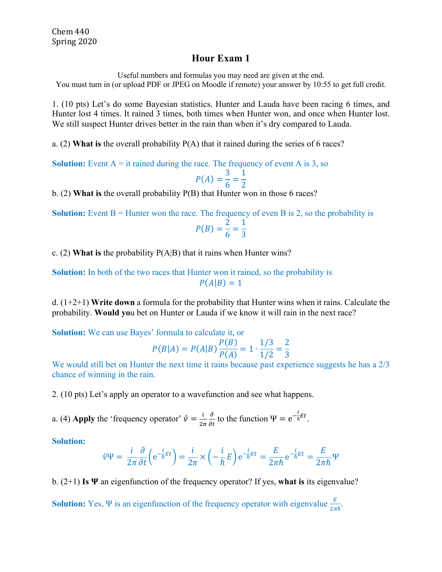## **Hour Exam 1**

Useful numbers and formulas you may need are given at the end. You must turn in (or upload PDF or JPEG on Moodle if remote) your answer by 10:55 to get full credit.

1. (10 pts) Let's do some Bayesian statistics. Hunter and Lauda have been racing 6 times, and Hunter lost 4 times. It rained 3 times, both times when Hunter won, and once when Hunter lost. We still suspect Hunter drives better in the rain than when it's dry compared to Lauda.

a. (2) **What is** the overall probability P(A) that it rained during the series of 6 races?

**Solution:** Event  $A =$  it rained during the race. The frequency of event  $A$  is 3, so

$$
P(A) = \frac{3}{6} = \frac{1}{2}
$$

2 b. (2) **What is** the overall probability P(B) that Hunter won in those 6 races?

**Solution:** Event  $B =$  Hunter won the race. The frequency of even  $B$  is 2, so the probability is  $P(B) = \frac{2}{6} = \frac{1}{3}$ 

c. (2) **What is** the probability P(A|B) that it rains when Hunter wins?

**Solution:** In both of the two races that Hunter won it rained, so the probability is  $P(A|B) = 1$ 

d. (1+2+1) **Write down** a formula for the probability that Hunter wins when it rains. Calculate the probability. **Would yo**u bet on Hunter or Lauda if we know it will rain in the next race?

**Solution:** We can use Bayes' formula to calculate it, or

$$
P(B|A) = P(A|B)\frac{P(B)}{P(A)} = 1 \cdot \frac{1/3}{1/2} = \frac{2}{3}
$$

We would still bet on Hunter the next time it rains because past experience suggests he has a 2/3 chance of winning in the rain.

2. (10 pts) Let's apply an operator to a wavefunction and see what happens.

a. (4) **Apply** the 'frequency operator'  $\hat{v} = \frac{i}{2\pi}$  $\frac{\partial}{\partial t}$  to the function  $\Psi = e^{-\frac{i}{\hbar}Et}$ .

**Solution:**

$$
\hat{\nu}\Psi = \frac{i}{2\pi} \frac{\partial}{\partial t} \left( e^{-\frac{i}{\hbar}Et} \right) = \frac{i}{2\pi} \times \left( -\frac{i}{\hbar}E \right) e^{-\frac{i}{\hbar}Et} = \frac{E}{2\pi\hbar} e^{-\frac{i}{\hbar}Et} = \frac{E}{2\pi\hbar} \Psi
$$

b.  $(2+1)$  **Is**  $\Psi$  an eigenfunction of the frequency operator? If yes, what is its eigenvalue?

**Solution:** Yes, Ψ is an eigenfunction of the frequency operator with eigenvalue  $\frac{E}{2\pi\hbar}$ .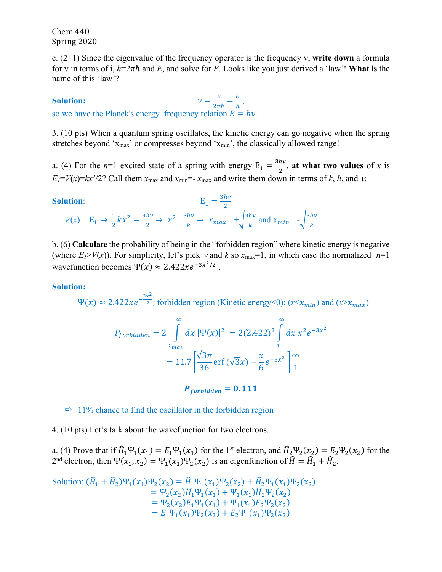Chem 440 Spring 2020

c.  $(2+1)$  Since the eigenvalue of the frequency operator is the frequency v, write **down** a formula for v in terms of i,  $h=2\pi\hbar$  and *E*, and solve for *E*. Looks like you just derived a 'law'! **What is** the name of this 'law'?

**Solution:**  $v = \frac{E}{2\pi\hbar} = \frac{E}{h}$ , so we have the Planck's energy–frequency relation  $E = hv$ .

3. (10 pts) When a quantum spring oscillates, the kinetic energy can go negative when the spring stretches beyond 'x<sub>max</sub>' or compresses beyond 'x<sub>min</sub>', the classically allowed range!

a. (4) For the *n*=1 excited state of a spring with energy  $E_1 = \frac{3hv}{2}$ , at what two values of *x* is  $E_1 = V(x) = kx^2/2$ ? Call them  $x_{\text{max}}$  and  $x_{\text{min}} = -x_{\text{max}}$  and write them down in terms of *k*, *h*, and *v*.

Solution:  
\n
$$
E_1 = \frac{3hv}{2}
$$
\n
$$
V(x) = E_1 \Rightarrow \frac{1}{2}kx^2 = \frac{3hv}{2} \Rightarrow x^2 = \frac{3hv}{k} \Rightarrow x_{max} = +\sqrt{\frac{3hv}{k}} \text{ and } x_{min} = -\sqrt{\frac{3hv}{k}}
$$

b. (6) **Calculate** the probability of being in the "forbidden region" where kinetic energy is negative (where  $E_1 > V(x)$ ). For simplicity, let's pick v and k so  $x_{\text{max}}=1$ , in which case the normalized  $n=1$ wavefunction becomes  $\Psi(x) \approx 2.422xe^{-3x^2/2}$ .

## **Solution:**

 $\Psi(x) \approx 2.422xe^{-\frac{3x^2}{2}}$ ; forbidden region (Kinetic energy<0):  $(x < x_{min})$  and  $(x > x_{max})$ 

$$
P_{forbidden} = 2 \int_{x_{max}}^{\infty} dx \, |\Psi(x)|^2 = 2(2.422)^2 \int_{1}^{\infty} dx \, x^2 e^{-3x^2}
$$

$$
= 11.7 \left[ \frac{\sqrt{3\pi}}{36} \text{erf} \left( \sqrt{3}x \right) - \frac{x}{6} e^{-3x^2} \right]_{1}^{\infty}
$$

 $P_{forbidden} = 0.111$ 

 $\Rightarrow$  11% chance to find the oscillator in the forbidden region

4. (10 pts) Let's talk about the wavefunction for two electrons.

a. (4) Prove that if  $\hat{H}_1\Psi_1(x_1) = E_1\Psi_1(x_1)$  for the 1<sup>st</sup> electron, and  $\hat{H}_2\Psi_2(x_2) = E_2\Psi_2(x_2)$  for the 2<sup>nd</sup> electron, then  $\Psi(x_1, x_2) = \Psi_1(x_1)\Psi_2(x_2)$  is an eigenfunction of  $\hat{H} = \hat{H}_1 + \hat{H}_2$ .

Solution: 
$$
\begin{aligned} (\hat{H}_1 + \hat{H}_2) \Psi_1(x_1) \Psi_2(x_2) &= \hat{H}_1 \Psi_1(x_1) \Psi_2(x_2) + \hat{H}_2 \Psi_1(x_1) \Psi_2(x_2) \\ &= \Psi_2(x_2) \hat{H}_1 \Psi_1(x_1) + \Psi_1(x_1) \hat{H}_2 \Psi_2(x_2) \\ &= \Psi_2(x_2) E_1 \Psi_1(x_1) + \Psi_1(x_1) E_2 \Psi_2(x_2) \\ &= E_1 \Psi_1(x_1) \Psi_2(x_2) + E_2 \Psi_1(x_1) \Psi_2(x_2) \end{aligned}
$$